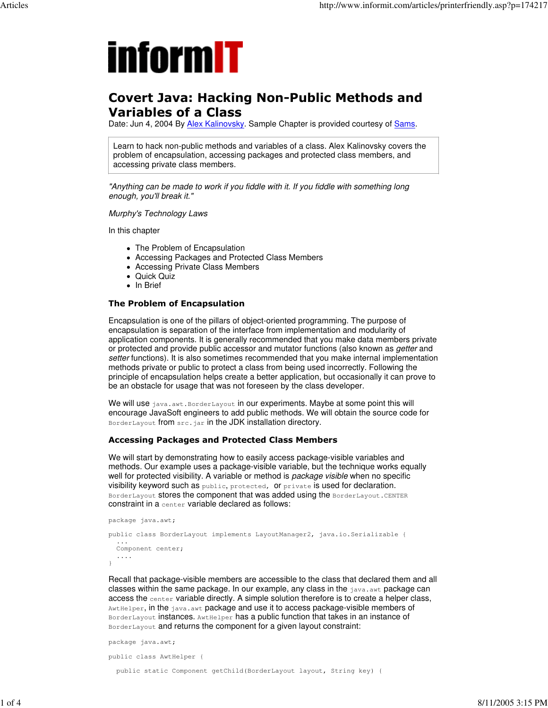

# Covert Java: Hacking Non-Public Methods and Variables of a Class

Date: Jun 4, 2004 By Alex Kalinovsky. Sample Chapter is provided courtesy of Sams.

Learn to hack non-public methods and variables of a class. Alex Kalinovsky covers the problem of encapsulation, accessing packages and protected class members, and accessing private class members.

"Anything can be made to work if you fiddle with it. If you fiddle with something long enough, you'll break it."

Murphy's Technology Laws

In this chapter

- The Problem of Encapsulation
- Accessing Packages and Protected Class Members
- Accessing Private Class Members
- Quick Quiz
- In Brief

#### The Problem of Encapsulation

Encapsulation is one of the pillars of object-oriented programming. The purpose of encapsulation is separation of the interface from implementation and modularity of application components. It is generally recommended that you make data members private or protected and provide public accessor and mutator functions (also known as getter and setter functions). It is also sometimes recommended that you make internal implementation methods private or public to protect a class from being used incorrectly. Following the principle of encapsulation helps create a better application, but occasionally it can prove to be an obstacle for usage that was not foreseen by the class developer.

We will use  $j$ ava.awt.BorderLayout in our experiments. Maybe at some point this will encourage JavaSoft engineers to add public methods. We will obtain the source code for BorderLayout from src.jar in the JDK installation directory.

#### Accessing Packages and Protected Class Members

We will start by demonstrating how to easily access package-visible variables and methods. Our example uses a package-visible variable, but the technique works equally well for protected visibility. A variable or method is *package visible* when no specific visibility keyword such as public, protected, or private is used for declaration. BorderLayout stores the component that was added using the BorderLayout .CENTER constraint in a center variable declared as follows:

```
package java.awt;
public class BorderLayout implements LayoutManager2, java.io.Serializable {
 ...
   Component center;
 ....
}
```
Recall that package-visible members are accessible to the class that declared them and all classes within the same package. In our example, any class in the  $j$ ava.awt package can access the center variable directly. A simple solution therefore is to create a helper class, AwtHelper, in the java.awt package and use it to access package-visible members of BorderLayout instances. AwtHelper has a public function that takes in an instance of BorderLayout and returns the component for a given layout constraint:

package java.awt;

public class AwtHelper {

public static Component getChild(BorderLayout layout, String key) {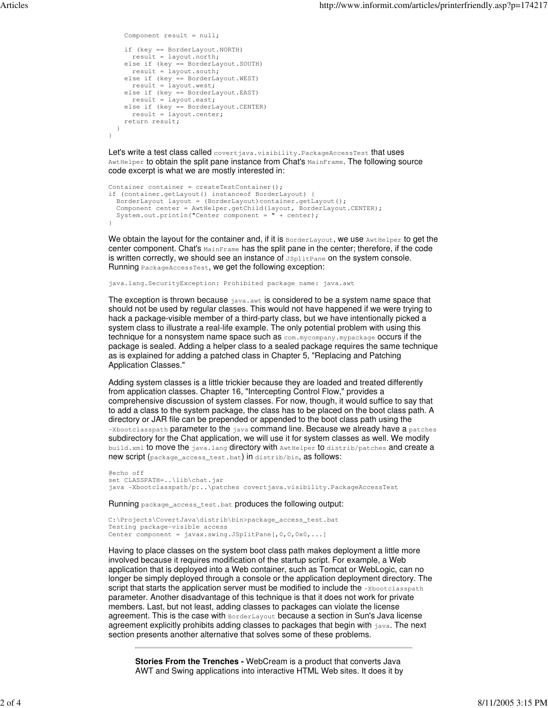```
 Component result = null;
   if (key == BorderLayout.NORTH)
     result = layout.north;
   else if (key == BorderLayout.SOUTH)
    result = layout.south; else if (key == BorderLayout.WEST)
     result = layout.west;
  else if (key == borderLayout.EAST) result = layout.east;
   else if (key == BorderLayout.CENTER)
    result = layout.center; return result;
 }
```
}

Let's write a test class called covert java. visibility. PackageAccessTest that uses AwtHelper to obtain the split pane instance from Chat's MainFrame. The following source code excerpt is what we are mostly interested in:

```
Container container = createTestContainer();
if (container.getLayout() instanceof BorderLayout) { 
  BorderLayout layout = (BorderLayout)container.getLayout();
 Component center = AwtHelper.getChild(layout, BorderLayout.CENTER);
 System.out.println("Center component = " + center);
}
```
We obtain the layout for the container and, if it is BorderLayout, we use AwtHelper to get the center component. Chat's MainFrame has the split pane in the center; therefore, if the code is written correctly, we should see an instance of  $Jsplit$  and  $S$  on the system console. Running PackageAccessTest, we get the following exception:

java.lang.SecurityException: Prohibited package name: java.awt

The exception is thrown because  $j$ <sub>ava.awt</sub> is considered to be a system name space that should not be used by regular classes. This would not have happened if we were trying to hack a package-visible member of a third-party class, but we have intentionally picked a system class to illustrate a real-life example. The only potential problem with using this technique for a nonsystem name space such as  $com.mycompany.mypackage$  occurs if the package is sealed. Adding a helper class to a sealed package requires the same technique as is explained for adding a patched class in Chapter 5, "Replacing and Patching Application Classes."

Adding system classes is a little trickier because they are loaded and treated differently from application classes. Chapter 16, "Intercepting Control Flow," provides a comprehensive discussion of system classes. For now, though, it would suffice to say that to add a class to the system package, the class has to be placed on the boot class path. A directory or JAR file can be prepended or appended to the boot class path using the  $-$ Xbootclasspath parameter to the  $j$ ava command line. Because we already have a patches subdirectory for the Chat application, we will use it for system classes as well. We modify build.xml to move the java.lang directory with AwtHelper to distrib/patches and create a new script (package\_access\_test.bat) in distrib/bin, as follows:

```
@echo off
set CLASSPATH=..\lib\chat.jar
java -Xbootclasspath/p:..\patches covertjava.visibility.PackageAccessTest
```
Running package\_access\_test.bat produces the following output:

```
C:\Projects\CovertJava\distrib\bin>package_access_test.bat
Testing package-visible access
Center component = javax.swing.JSplitPane[, 0, 0, 0x0, ...]
```
Having to place classes on the system boot class path makes deployment a little more involved because it requires modification of the startup script. For example, a Web application that is deployed into a Web container, such as Tomcat or WebLogic, can no longer be simply deployed through a console or the application deployment directory. The script that starts the application server must be modified to include the -xbootclasspath parameter. Another disadvantage of this technique is that it does not work for private members. Last, but not least, adding classes to packages can violate the license agreement. This is the case with BorderLayout because a section in Sun's Java license agreement explicitly prohibits adding classes to packages that begin with  $j$ <sub>ava</sub>. The next section presents another alternative that solves some of these problems.

**Stories From the Trenches -** WebCream is a product that converts Java AWT and Swing applications into interactive HTML Web sites. It does it by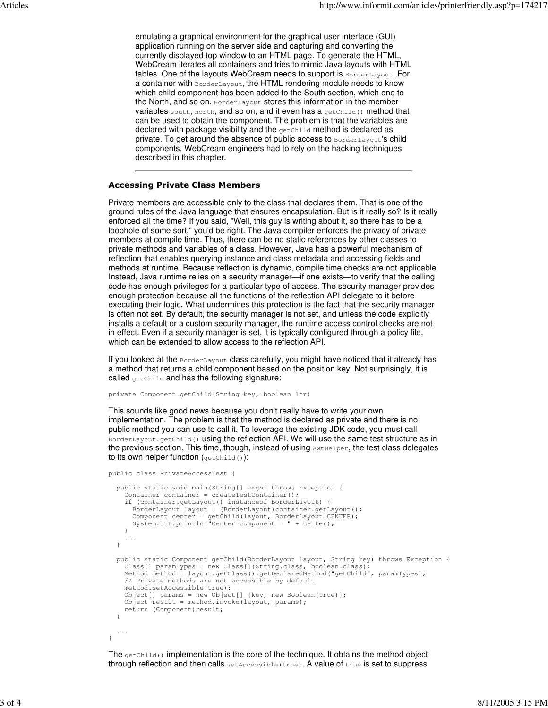emulating a graphical environment for the graphical user interface (GUI) application running on the server side and capturing and converting the currently displayed top window to an HTML page. To generate the HTML, WebCream iterates all containers and tries to mimic Java layouts with HTML tables. One of the layouts WebCream needs to support is BorderLayout. For a container with BorderLayout, the HTML rendering module needs to know which child component has been added to the South section, which one to the North, and so on. BorderLayout stores this information in the member variables south, north, and so on, and it even has a  $qetChild()$  method that can be used to obtain the component. The problem is that the variables are declared with package visibility and the getChild method is declared as private. To get around the absence of public access to BorderLayout's child components, WebCream engineers had to rely on the hacking techniques described in this chapter.

### Accessing Private Class Members

Private members are accessible only to the class that declares them. That is one of the ground rules of the Java language that ensures encapsulation. But is it really so? Is it really enforced all the time? If you said, "Well, this guy is writing about it, so there has to be a loophole of some sort," you'd be right. The Java compiler enforces the privacy of private members at compile time. Thus, there can be no static references by other classes to private methods and variables of a class. However, Java has a powerful mechanism of reflection that enables querying instance and class metadata and accessing fields and methods at runtime. Because reflection is dynamic, compile time checks are not applicable. Instead, Java runtime relies on a security manager—if one exists—to verify that the calling code has enough privileges for a particular type of access. The security manager provides enough protection because all the functions of the reflection API delegate to it before executing their logic. What undermines this protection is the fact that the security manager is often not set. By default, the security manager is not set, and unless the code explicitly installs a default or a custom security manager, the runtime access control checks are not in effect. Even if a security manager is set, it is typically configured through a policy file, which can be extended to allow access to the reflection API.

If you looked at the BorderLayout class carefully, you might have noticed that it already has a method that returns a child component based on the position key. Not surprisingly, it is called getChild and has the following signature:

private Component getChild(String key, boolean ltr)

This sounds like good news because you don't really have to write your own implementation. The problem is that the method is declared as private and there is no public method you can use to call it. To leverage the existing JDK code, you must call BorderLayout.getChild() using the reflection API. We will use the same test structure as in the previous section. This time, though, instead of using  $AwtHe1per$ , the test class delegates to its own helper function  $(getChild()$ :

```
public class PrivateAccessTest {
   public static void main(String[] args) throws Exception {
     Container container = createTestContainer();
     if (container.getLayout() instanceof BorderLayout) {
     BorderLayout layout = (BorderLayout)container.getLayout();
       Component center = getChild(layout, BorderLayout.CENTER);
       System.out.println("Center component = " + center);
     }
     ...
   }
   public static Component getChild(BorderLayout layout, String key) throws Exception {
 Class[] paramTypes = new Class[]{String.class, boolean.class};
 Method method = layout.getClass().getDeclaredMethod("getChild", paramTypes);
     // Private methods are not accessible by default
    method.setAccessible(true);
    Object[] params = new Object[] {key, new Boolean(true)};
    Object result = method.invoke(layout, params);
   return (Component) result;
   }
 ...
}
```
The  $getChild()$  implementation is the core of the technique. It obtains the method object through reflection and then calls setAccessible(true). A value of true is set to suppress